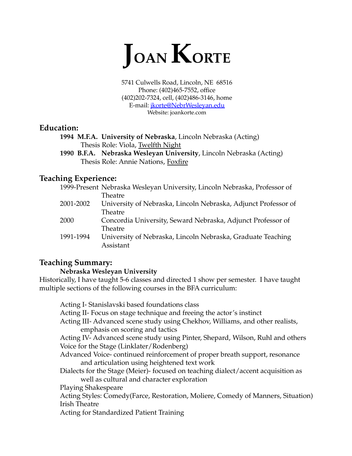

5741 Culwells Road, Lincoln, NE 68516 Phone: (402)465-7552, office (402)202-7324, cell, (402)486-3146, home E-mail: [jkorte@NebrWesleyan.edu](mailto:jkorte@NebrWesleyan.edu) Website: joankorte.com

# **Education:**

**1994 M.F.A. University of Nebraska**, Lincoln Nebraska (Acting) Thesis Role: Viola, Twelfth Night

**1990 B.F.A. Nebraska Wesleyan University**, Lincoln Nebraska (Acting) Thesis Role: Annie Nations, Foxfire

# **Teaching Experience:**

|           | 1999-Present Nebraska Wesleyan University, Lincoln Nebraska, Professor of |
|-----------|---------------------------------------------------------------------------|
|           | Theatre                                                                   |
| 2001-2002 | University of Nebraska, Lincoln Nebraska, Adjunct Professor of            |
|           | Theatre                                                                   |
| 2000      | Concordia University, Seward Nebraska, Adjunct Professor of               |
|           | Theatre                                                                   |
| 1991-1994 | University of Nebraska, Lincoln Nebraska, Graduate Teaching               |
|           | Assistant                                                                 |
|           |                                                                           |

# **Teaching Summary:**

# **Nebraska Wesleyan University**

Historically, I have taught 5-6 classes and directed 1 show per semester. I have taught multiple sections of the following courses in the BFA curriculum:

Acting I- Stanislavski based foundations class Acting II- Focus on stage technique and freeing the actor's instinct Acting III- Advanced scene study using Chekhov, Williams, and other realists, emphasis on scoring and tactics Acting IV- Advanced scene study using Pinter, Shepard, Wilson, Ruhl and others Voice for the Stage (Linklater/Rodenberg) Advanced Voice- continued reinforcement of proper breath support, resonance and articulation using heightened text work Dialects for the Stage (Meier)- focused on teaching dialect/accent acquisition as well as cultural and character exploration Playing Shakespeare Acting Styles: Comedy(Farce, Restoration, Moliere, Comedy of Manners, Situation) Irish Theatre Acting for Standardized Patient Training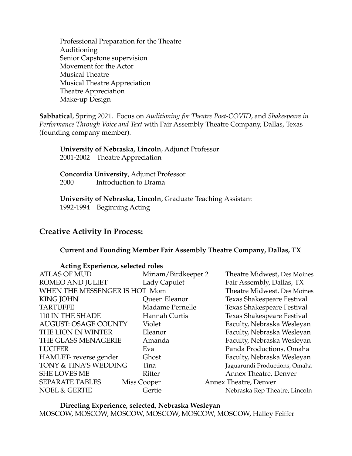Professional Preparation for the Theatre Auditioning Senior Capstone supervision Movement for the Actor Musical Theatre Musical Theatre Appreciation Theatre Appreciation Make-up Design

**Sabbatical**, Spring 2021. Focus on *Auditioning for Theatre Post-COVID*, and *Shakespeare in Performance Through Voice and Text* with Fair Assembly Theatre Company, Dallas, Texas (founding company member).

**University of Nebraska, Lincoln**, Adjunct Professor 2001-2002 Theatre Appreciation

**Concordia University**, Adjunct Professor 2000 Introduction to Drama

**University of Nebraska, Lincoln**, Graduate Teaching Assistant 1992-1994 Beginning Acting

# **Creative Activity In Process:**

### **Current and Founding Member Fair Assembly Theatre Company, Dallas, TX**

| Acting Experience, selected roles |                     |                               |
|-----------------------------------|---------------------|-------------------------------|
| <b>ATLAS OF MUD</b>               | Miriam/Birdkeeper 2 | Theatre Midwest, Des Moines   |
| <b>ROMEO AND JULIET</b>           | Lady Capulet        | Fair Assembly, Dallas, TX     |
| WHEN THE MESSENGER IS HOT Mom     |                     | Theatre Midwest, Des Moines   |
| <b>KING JOHN</b>                  | Queen Eleanor       | Texas Shakespeare Festival    |
| <b>TARTUFFE</b>                   | Madame Pernelle     | Texas Shakespeare Festival    |
| 110 IN THE SHADE                  | Hannah Curtis       | Texas Shakespeare Festival    |
| <b>AUGUST: OSAGE COUNTY</b>       | Violet              | Faculty, Nebraska Wesleyan    |
| THE LION IN WINTER                | Eleanor             | Faculty, Nebraska Wesleyan    |
| THE GLASS MENAGERIE               | Amanda              | Faculty, Nebraska Wesleyan    |
| <b>LUCIFER</b>                    | Eva                 | Panda Productions, Omaha      |
| HAMLET-reverse gender             | Ghost               | Faculty, Nebraska Wesleyan    |
| TONY & TINA'S WEDDING             | Tina                | Jaguarundi Productions, Omaha |
| <b>SHE LOVES ME</b>               | Ritter              | Annex Theatre, Denver         |
| <b>SEPARATE TABLES</b>            | Miss Cooper         | Annex Theatre, Denver         |
| <b>NOEL &amp; GERTIE</b>          | Gertie              | Nebraska Rep Theatre, Lincoln |

**Directing Experience, selected, Nebraska Wesleyan** MOSCOW, MOSCOW, MOSCOW, MOSCOW, MOSCOW, MOSCOW, Halley Feiffer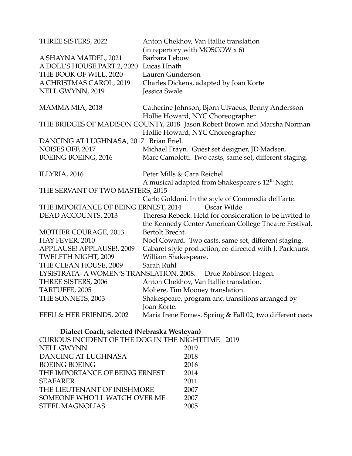| THREE SISTERS, 2022                    | Anton Chekhov, Van Itallie translation                                                                           |
|----------------------------------------|------------------------------------------------------------------------------------------------------------------|
|                                        | (in repertory with MOSCOW $x$ 6)                                                                                 |
| A SHAYNA MAIDEL, 2021                  | Barbara Lebow                                                                                                    |
| A DOLL'S HOUSE PART 2, 2020            | Lucas Hnath                                                                                                      |
| THE BOOK OF WILL, 2020                 | Lauren Gunderson                                                                                                 |
| A CHRISTMAS CAROL, 2019                | Charles Dickens, adapted by Joan Korte                                                                           |
| NELL GWYNN, 2019                       | Jessica Swale                                                                                                    |
| MAMMA MIA, 2018                        | Catherine Johnson, Bjorn Ulvaeus, Benny Andersson<br>Hollie Howard, NYC Choreographer                            |
|                                        | THE BRIDGES OF MADISON COUNTY, 2018 Jason Robert Brown and Marsha Norman                                         |
|                                        | Hollie Howard, NYC Choreographer                                                                                 |
| DANCING AT LUGHNASA, 2017 Brian Friel. |                                                                                                                  |
| NOISES OFF, 2017                       | Michael Frayn. Guest set designer, JD Madsen.                                                                    |
| <b>BOEING BOEING, 2016</b>             | Marc Camoletti. Two casts, same set, different staging.                                                          |
| ILLYRIA, 2016                          | Peter Mills & Cara Reichel.                                                                                      |
|                                        | A musical adapted from Shakespeare's 12 <sup>th</sup> Night                                                      |
| THE SERVANT OF TWO MASTERS, 2015       |                                                                                                                  |
|                                        | Carlo Goldoni. In the style of Commedia dell'arte.                                                               |
| THE IMPORTANCE OF BEING ERNEST, 2014   | Oscar Wilde                                                                                                      |
| DEAD ACCOUNTS, 2013                    | Theresa Rebeck. Held for consideration to be invited to<br>the Kennedy Center American College Theatre Festival. |
| <b>MOTHER COURAGE, 2013</b>            | Bertolt Brecht.                                                                                                  |
| HAY FEVER, 2010                        | Noel Coward. Two casts, same set, different staging.                                                             |
| APPLAUSE! APPLAUSE!, 2009              | Cabaret style production, co-directed with J. Parkhurst                                                          |
| TWELFTH NIGHT, 2009                    | William Shakespeare.                                                                                             |
| THE CLEAN HOUSE, 2009                  | Sarah Ruhl                                                                                                       |
|                                        | LYSISTRATA- A WOMEN'S TRANSLATION, 2008. Drue Robinson Hagen.                                                    |
| THREE SISTERS, 2006                    | Anton Chekhov, Van Itallie translation.                                                                          |
| TARTUFFE, 2005                         | Moliere, Tim Mooney translation.                                                                                 |
| THE SONNETS, 2003                      | Shakespeare, program and transitions arranged by<br>Joan Korte.                                                  |
| FEFU & HER FRIENDS, 2002               | Maria Irene Fornes. Spring & Fall 02, two different casts                                                        |

**Dialect Coach, selected (Nebraska Wesleyan)**

| CURIOUS INCIDENT OF THE DOG IN THE NIGHTTIME 2019 |      |  |
|---------------------------------------------------|------|--|
| <b>NELL GWYNN</b>                                 | 2019 |  |
| DANCING AT LUGHNASA                               | 2018 |  |
| <b>BOEING BOEING</b>                              | 2016 |  |
| THE IMPORTANCE OF BEING ERNEST                    | 2014 |  |
| <b>SEAFARER</b>                                   | 2011 |  |
| THE LIEUTENANT OF INISHMORE                       | 2007 |  |
| SOMEONE WHO'LL WATCH OVER ME                      | 2007 |  |
| <b>STEEL MAGNOLIAS</b>                            | 2005 |  |
|                                                   |      |  |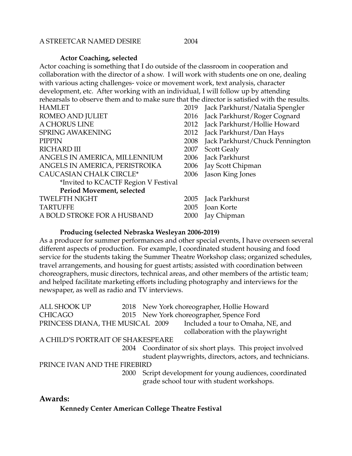#### A STREETCAR NAMED DESIRE 2004

#### **Actor Coaching, selected**

Actor coaching is something that I do outside of the classroom in cooperation and collaboration with the director of a show. I will work with students one on one, dealing with various acting challenges- voice or movement work, text analysis, character development, etc. After working with an individual, I will follow up by attending rehearsals to observe them and to make sure that the director is satisfied with the results.

| <b>HAMLET</b>                        | 2019 | Jack Parkhurst/Natalia Spengler |
|--------------------------------------|------|---------------------------------|
| <b>ROMEO AND JULIET</b>              | 2016 | Jack Parkhurst/Roger Cognard    |
| A CHORUS LINE                        | 2012 | Jack Parkhurst/Hollie Howard    |
| <b>SPRING AWAKENING</b>              | 2012 | Jack Parkhurst/Dan Hays         |
| <b>PIPPIN</b>                        | 2008 | Jack Parkhurst/Chuck Pennington |
| <b>RICHARD III</b>                   | 2007 | <b>Scott Gealy</b>              |
| ANGELS IN AMERICA, MILLENNIUM        | 2006 | Jack Parkhurst                  |
| ANGELS IN AMERICA, PERISTROIKA       | 2006 | Jay Scott Chipman               |
| <b>CAUCASIAN CHALK CIRCLE*</b>       | 2006 | Jason King Jones                |
| *Invited to KCACTF Region V Festival |      |                                 |
| Period Movement, selected            |      |                                 |
| <b>TWELFTH NIGHT</b>                 | 2005 | Jack Parkhurst                  |
| <b>TARTUFFE</b>                      | 2005 | Joan Korte                      |
| A BOLD STROKE FOR A HUSBAND          | 2000 | Jay Chipman                     |

#### **Producing (selected Nebraska Wesleyan 2006-2019)**

As a producer for summer performances and other special events, I have overseen several different aspects of production. For example, I coordinated student housing and food service for the students taking the Summer Theatre Workshop class; organized schedules, travel arrangements, and housing for guest artists; assisted with coordination between choreographers, music directors, technical areas, and other members of the artistic team; and helped facilitate marketing efforts including photography and interviews for the newspaper, as well as radio and TV interviews.

| <b>ALL SHOOK UP</b>               |      | 2018 New York choreographer, Hollie Howard                 |
|-----------------------------------|------|------------------------------------------------------------|
| <b>CHICAGO</b>                    |      | 2015 New York choreographer, Spence Ford                   |
| PRINCESS DIANA, THE MUSICAL 2009  |      | Included a tour to Omaha, NE, and                          |
|                                   |      | collaboration with the playwright                          |
| A CHILD'S PORTRAIT OF SHAKESPEARE |      |                                                            |
|                                   |      | 2004 Coordinator of six short plays. This project involved |
|                                   |      | student playwrights, directors, actors, and technicians.   |
| PRINCE IVAN AND THE FIREBIRD      |      |                                                            |
|                                   | 2000 | Script development for young audiences, coordinated        |
|                                   |      | grade school tour with student workshops.                  |
|                                   |      |                                                            |

## **Awards:**

**Kennedy Center American College Theatre Festival**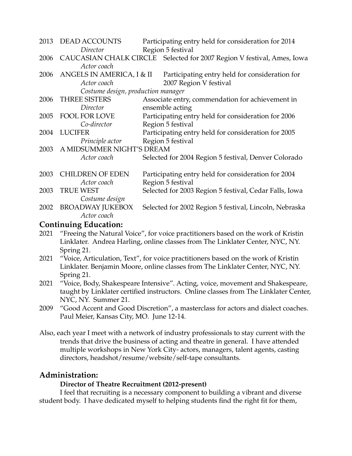| 2013 | DEAD ACCOUNTS                      | Participating entry held for consideration for 2014                                                |
|------|------------------------------------|----------------------------------------------------------------------------------------------------|
|      | Director                           | Region 5 festival                                                                                  |
| 2006 | Actor coach                        | CAUCASIAN CHALK CIRCLE Selected for 2007 Region V festival, Ames, Iowa                             |
| 2006 | Actor coach                        | ANGELS IN AMERICA, I & II Participating entry held for consideration for<br>2007 Region V festival |
|      | Costume design, production manager |                                                                                                    |
| 2006 | <b>THREE SISTERS</b>               | Associate entry, commendation for achievement in                                                   |
|      | Director                           | ensemble acting                                                                                    |
| 2005 | FOOL FOR LOVE                      | Participating entry held for consideration for 2006                                                |
|      | Co-director                        | Region 5 festival                                                                                  |
| 2004 | <b>LUCIFER</b>                     | Participating entry held for consideration for 2005                                                |
|      | Principle actor                    | Region 5 festival                                                                                  |
| 2003 | A MIDSUMMER NIGHT'S DREAM          |                                                                                                    |
|      | Actor coach                        | Selected for 2004 Region 5 festival, Denver Colorado                                               |
| 2003 | <b>CHILDREN OF EDEN</b>            | Participating entry held for consideration for 2004                                                |
|      | Actor coach                        | Region 5 festival                                                                                  |
| 2003 | <b>TRUE WEST</b>                   | Selected for 2003 Region 5 festival, Cedar Falls, Iowa                                             |
|      | Costume design                     |                                                                                                    |
| 2002 | <b>BROADWAY JUKEBOX</b>            | Selected for 2002 Region 5 festival, Lincoln, Nebraska                                             |
|      | Actor coach                        |                                                                                                    |
|      | <b>Continuing Education:</b>       |                                                                                                    |

- 2021 "Freeing the Natural Voice", for voice practitioners based on the work of Kristin Linklater. Andrea Harling, online classes from The Linklater Center, NYC, NY. Spring 21.
- 2021 "Voice, Articulation, Text", for voice practitioners based on the work of Kristin Linklater. Benjamin Moore, online classes from The Linklater Center, NYC, NY. Spring 21.
- 2021 "Voice, Body, Shakespeare Intensive". Acting, voice, movement and Shakespeare, taught by Linklater certified instructors. Online classes from The Linklater Center, NYC, NY. Summer 21.
- 2009 "Good Accent and Good Discretion", a masterclass for actors and dialect coaches. Paul Meier, Kansas City, MO. June 12-14.
- Also, each year I meet with a network of industry professionals to stay current with the trends that drive the business of acting and theatre in general. I have attended multiple workshops in New York City- actors, managers, talent agents, casting directors, headshot/resume/website/self-tape consultants.

# **Administration:**

## **Director of Theatre Recruitment (2012-present)**

I feel that recruiting is a necessary component to building a vibrant and diverse student body. I have dedicated myself to helping students find the right fit for them,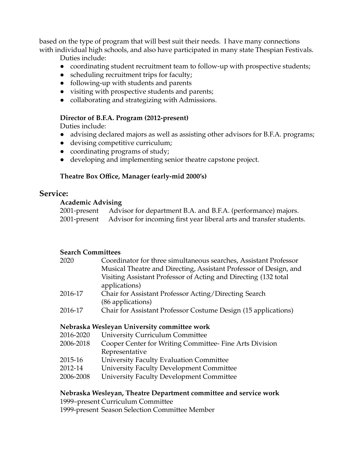based on the type of program that will best suit their needs. I have many connections with individual high schools, and also have participated in many state Thespian Festivals.

Duties include:

- coordinating student recruitment team to follow-up with prospective students;
- scheduling recruitment trips for faculty;
- following-up with students and parents
- visiting with prospective students and parents;
- collaborating and strategizing with Admissions.

## **Director of B.F.A. Program (2012-present)**

Duties include:

- advising declared majors as well as assisting other advisors for B.F.A. programs;
- devising competitive curriculum;
- coordinating programs of study;
- developing and implementing senior theatre capstone project.

# **Theatre Box Office, Manager (early-mid 2000's)**

# **Service:**

## **Academic Advising**

| 2001-present Advisor for department B.A. and B.F.A. (performance) majors.        |
|----------------------------------------------------------------------------------|
| 2001-present Advisor for incoming first year liberal arts and transfer students. |

## **Search Committees**

| 2020    | Coordinator for three simultaneous searches, Assistant Professor  |
|---------|-------------------------------------------------------------------|
|         | Musical Theatre and Directing, Assistant Professor of Design, and |
|         | Visiting Assistant Professor of Acting and Directing (132 total   |
|         | applications)                                                     |
| 2016-17 | Chair for Assistant Professor Acting/Directing Search             |
|         | (86 applications)                                                 |
| 2016-17 | Chair for Assistant Professor Costume Design (15 applications)    |

## **Nebraska Wesleyan University committee work**

- 2016-2020 University Curriculum Committee
- 2006-2018 Cooper Center for Writing Committee- Fine Arts Division Representative
- 2015-16 University Faculty Evaluation Committee
- 2012-14 University Faculty Development Committee
- 2006-2008 University Faculty Development Committee

# **Nebraska Wesleyan, Theatre Department committee and service work**

1999–present Curriculum Committee

1999-present Season Selection Committee Member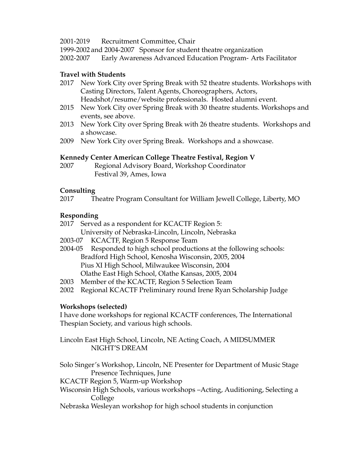## 2001-2019 Recruitment Committee, Chair

1999-2002 and 2004-2007 Sponsor for student theatre organization

2002-2007 Early Awareness Advanced Education Program- Arts Facilitator

# **Travel with Students**

- 2017 New York City over Spring Break with 52 theatre students. Workshops with Casting Directors, Talent Agents, Choreographers, Actors, Headshot/resume/website professionals. Hosted alumni event.
- 2015 New York City over Spring Break with 30 theatre students. Workshops and events, see above.
- 2013 New York City over Spring Break with 26 theatre students. Workshops and a showcase.
- 2009 New York City over Spring Break. Workshops and a showcase.

# **Kennedy Center American College Theatre Festival, Region V**

2007 Regional Advisory Board, Workshop Coordinator Festival 39, Ames, Iowa

## **Consulting**

2017 Theatre Program Consultant for William Jewell College, Liberty, MO

# **Responding**

- 2017 Served as a respondent for KCACTF Region 5: University of Nebraska-Lincoln, Lincoln, Nebraska
- 2003-07 KCACTF, Region 5 Response Team
- 2004-05 Responded to high school productions at the following schools: Bradford High School, Kenosha Wisconsin, 2005, 2004 Pius XI High School, Milwaukee Wisconsin, 2004 Olathe East High School, Olathe Kansas, 2005, 2004
- 2003 Member of the KCACTF, Region 5 Selection Team
- 2002 Regional KCACTF Preliminary round Irene Ryan Scholarship Judge

# **Workshops (selected)**

I have done workshops for regional KCACTF conferences, The International Thespian Society, and various high schools.

Lincoln East High School, Lincoln, NE Acting Coach, A MIDSUMMER NIGHT'S DREAM

Solo Singer's Workshop, Lincoln, NE Presenter for Department of Music Stage Presence Techniques, June

KCACTF Region 5, Warm-up Workshop

- Wisconsin High Schools, various workshops –Acting, Auditioning, Selecting a College
- Nebraska Wesleyan workshop for high school students in conjunction